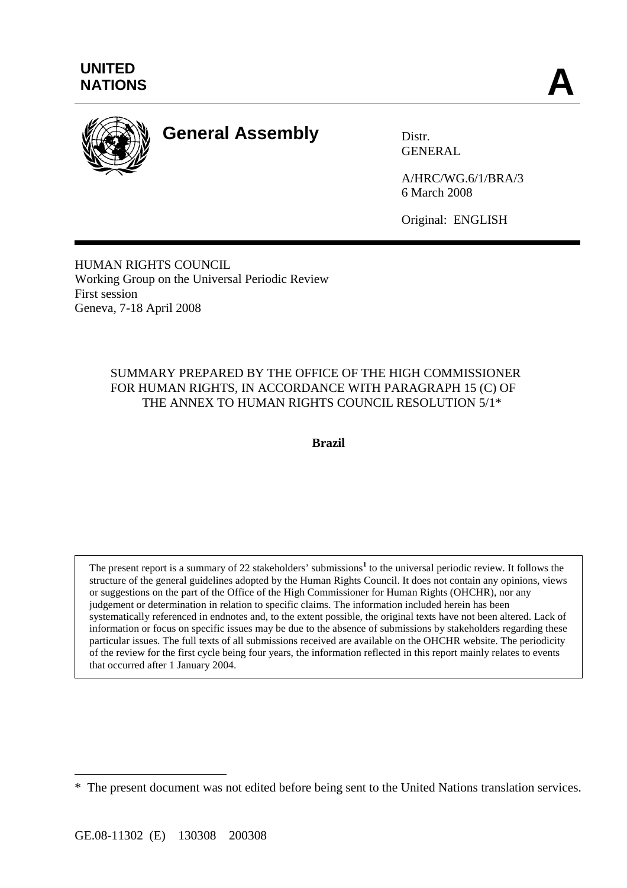

# **General Assembly** Distr.

**GENERAL** 

A/HRC/WG.6/1/BRA/3 6 March 2008

Original: ENGLISH

HUMAN RIGHTS COUNCIL Working Group on the Universal Periodic Review First session Geneva, 7-18 April 2008

#### SUMMARY PREPARED BY THE OFFICE OF THE HIGH COMMISSIONER FOR HUMAN RIGHTS, IN ACCORDANCE WITH PARAGRAPH 15 (C) OF THE ANNEX TO HUMAN RIGHTS COUNCIL RESOLUTION 5/1\*

**Brazil** 

The present report is a summary of 22 stakeholders' submissions<sup>1</sup> to the universal periodic review. It follows the structure of the general guidelines adopted by the Human Rights Council. It does not contain any opinions, views or suggestions on the part of the Office of the High Commissioner for Human Rights (OHCHR), nor any judgement or determination in relation to specific claims. The information included herein has been systematically referenced in endnotes and, to the extent possible, the original texts have not been altered. Lack of information or focus on specific issues may be due to the absence of submissions by stakeholders regarding these particular issues. The full texts of all submissions received are available on the OHCHR website. The periodicity of the review for the first cycle being four years, the information reflected in this report mainly relates to events that occurred after 1 January 2004.

 $\overline{a}$ 

<sup>\*</sup> The present document was not edited before being sent to the United Nations translation services.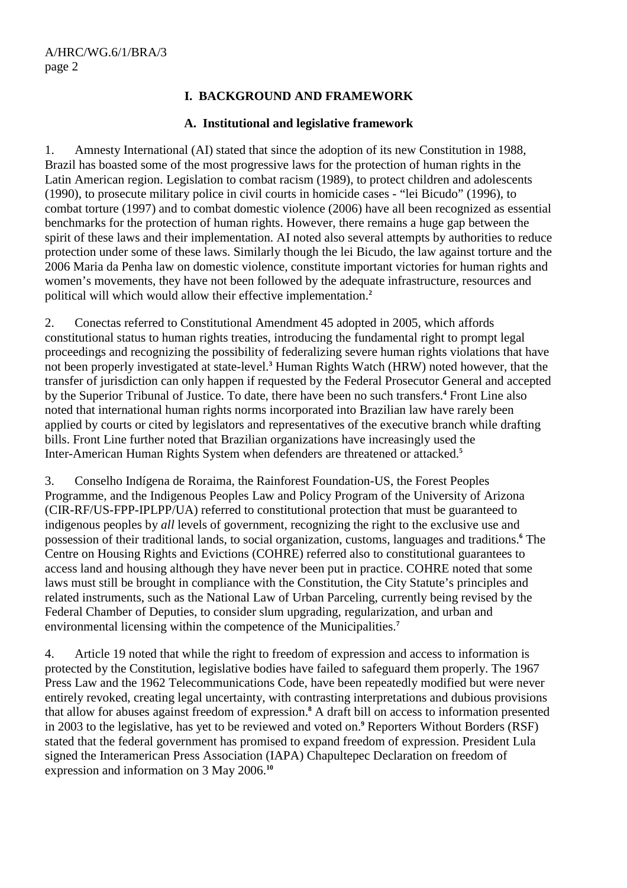## **I. BACKGROUND AND FRAMEWORK**

#### **A. Institutional and legislative framework**

1. Amnesty International (AI) stated that since the adoption of its new Constitution in 1988, Brazil has boasted some of the most progressive laws for the protection of human rights in the Latin American region. Legislation to combat racism (1989), to protect children and adolescents (1990), to prosecute military police in civil courts in homicide cases - "lei Bicudo" (1996), to combat torture (1997) and to combat domestic violence (2006) have all been recognized as essential benchmarks for the protection of human rights. However, there remains a huge gap between the spirit of these laws and their implementation. AI noted also several attempts by authorities to reduce protection under some of these laws. Similarly though the lei Bicudo, the law against torture and the 2006 Maria da Penha law on domestic violence, constitute important victories for human rights and women's movements, they have not been followed by the adequate infrastructure, resources and political will which would allow their effective implementation.**<sup>2</sup>**

2. Conectas referred to Constitutional Amendment 45 adopted in 2005, which affords constitutional status to human rights treaties, introducing the fundamental right to prompt legal proceedings and recognizing the possibility of federalizing severe human rights violations that have not been properly investigated at state-level.**<sup>3</sup>** Human Rights Watch (HRW) noted however, that the transfer of jurisdiction can only happen if requested by the Federal Prosecutor General and accepted by the Superior Tribunal of Justice. To date, there have been no such transfers.**<sup>4</sup>** Front Line also noted that international human rights norms incorporated into Brazilian law have rarely been applied by courts or cited by legislators and representatives of the executive branch while drafting bills. Front Line further noted that Brazilian organizations have increasingly used the Inter-American Human Rights System when defenders are threatened or attacked.**<sup>5</sup>**

3. Conselho Indígena de Roraima, the Rainforest Foundation-US, the Forest Peoples Programme, and the Indigenous Peoples Law and Policy Program of the University of Arizona (CIR-RF/US-FPP-IPLPP/UA) referred to constitutional protection that must be guaranteed to indigenous peoples by *all* levels of government, recognizing the right to the exclusive use and possession of their traditional lands, to social organization, customs, languages and traditions.<sup>6</sup> The Centre on Housing Rights and Evictions (COHRE) referred also to constitutional guarantees to access land and housing although they have never been put in practice. COHRE noted that some laws must still be brought in compliance with the Constitution, the City Statute's principles and related instruments, such as the National Law of Urban Parceling, currently being revised by the Federal Chamber of Deputies, to consider slum upgrading, regularization, and urban and environmental licensing within the competence of the Municipalities.**<sup>7</sup>**

4. Article 19 noted that while the right to freedom of expression and access to information is protected by the Constitution, legislative bodies have failed to safeguard them properly. The 1967 Press Law and the 1962 Telecommunications Code, have been repeatedly modified but were never entirely revoked, creating legal uncertainty, with contrasting interpretations and dubious provisions that allow for abuses against freedom of expression.**<sup>8</sup>** A draft bill on access to information presented in 2003 to the legislative, has yet to be reviewed and voted on.**<sup>9</sup>** Reporters Without Borders (RSF) stated that the federal government has promised to expand freedom of expression. President Lula signed the Interamerican Press Association (IAPA) Chapultepec Declaration on freedom of expression and information on 3 May 2006.**10**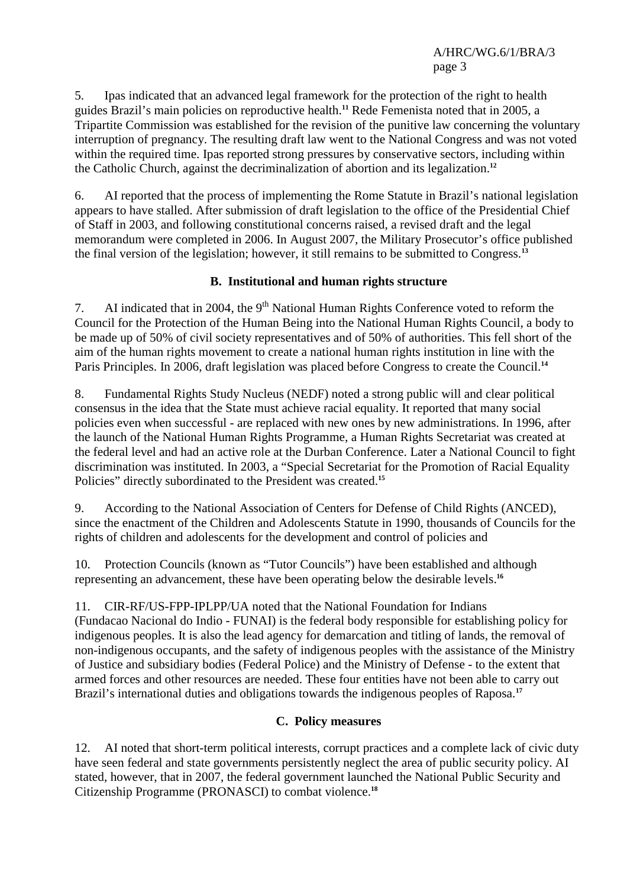5. Ipas indicated that an advanced legal framework for the protection of the right to health guides Brazil's main policies on reproductive health.**<sup>11</sup>** Rede Femenista noted that in 2005, a Tripartite Commission was established for the revision of the punitive law concerning the voluntary interruption of pregnancy. The resulting draft law went to the National Congress and was not voted within the required time. Ipas reported strong pressures by conservative sectors, including within the Catholic Church, against the decriminalization of abortion and its legalization.**<sup>12</sup>**

6. AI reported that the process of implementing the Rome Statute in Brazil's national legislation appears to have stalled. After submission of draft legislation to the office of the Presidential Chief of Staff in 2003, and following constitutional concerns raised, a revised draft and the legal memorandum were completed in 2006. In August 2007, the Military Prosecutor's office published the final version of the legislation; however, it still remains to be submitted to Congress.**<sup>13</sup>**

## **B. Institutional and human rights structure**

7. AI indicated that in 2004, the  $9<sup>th</sup>$  National Human Rights Conference voted to reform the Council for the Protection of the Human Being into the National Human Rights Council, a body to be made up of 50% of civil society representatives and of 50% of authorities. This fell short of the aim of the human rights movement to create a national human rights institution in line with the Paris Principles. In 2006, draft legislation was placed before Congress to create the Council.**<sup>14</sup>**

8. Fundamental Rights Study Nucleus (NEDF) noted a strong public will and clear political consensus in the idea that the State must achieve racial equality. It reported that many social policies even when successful - are replaced with new ones by new administrations. In 1996, after the launch of the National Human Rights Programme, a Human Rights Secretariat was created at the federal level and had an active role at the Durban Conference. Later a National Council to fight discrimination was instituted. In 2003, a "Special Secretariat for the Promotion of Racial Equality Policies" directly subordinated to the President was created.**<sup>15</sup>**

9. According to the National Association of Centers for Defense of Child Rights (ANCED), since the enactment of the Children and Adolescents Statute in 1990, thousands of Councils for the rights of children and adolescents for the development and control of policies and

10. Protection Councils (known as "Tutor Councils") have been established and although representing an advancement, these have been operating below the desirable levels.**<sup>16</sup>**

11. CIR-RF/US-FPP-IPLPP/UA noted that the National Foundation for Indians

(Fundacao Nacional do Indio - FUNAI) is the federal body responsible for establishing policy for indigenous peoples. It is also the lead agency for demarcation and titling of lands, the removal of non-indigenous occupants, and the safety of indigenous peoples with the assistance of the Ministry of Justice and subsidiary bodies (Federal Police) and the Ministry of Defense - to the extent that armed forces and other resources are needed. These four entities have not been able to carry out Brazil's international duties and obligations towards the indigenous peoples of Raposa.**<sup>17</sup>**

#### **C. Policy measures**

12. AI noted that short-term political interests, corrupt practices and a complete lack of civic duty have seen federal and state governments persistently neglect the area of public security policy. AI stated, however, that in 2007, the federal government launched the National Public Security and Citizenship Programme (PRONASCI) to combat violence. **18**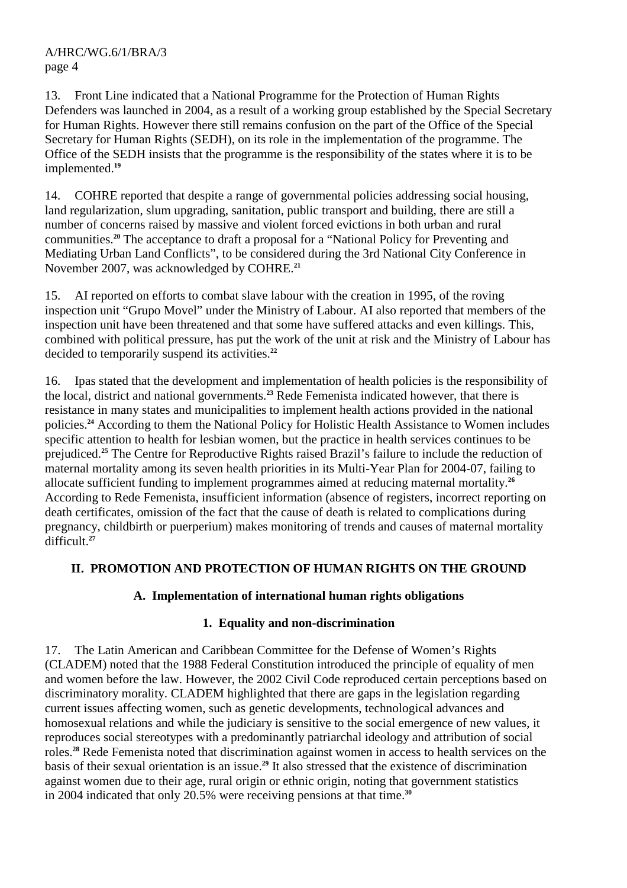13. Front Line indicated that a National Programme for the Protection of Human Rights Defenders was launched in 2004, as a result of a working group established by the Special Secretary for Human Rights. However there still remains confusion on the part of the Office of the Special Secretary for Human Rights (SEDH), on its role in the implementation of the programme. The Office of the SEDH insists that the programme is the responsibility of the states where it is to be implemented.**<sup>19</sup>**

14. COHRE reported that despite a range of governmental policies addressing social housing, land regularization, slum upgrading, sanitation, public transport and building, there are still a number of concerns raised by massive and violent forced evictions in both urban and rural communities.**<sup>20</sup>** The acceptance to draft a proposal for a "National Policy for Preventing and Mediating Urban Land Conflicts", to be considered during the 3rd National City Conference in November 2007, was acknowledged by COHRE.**<sup>21</sup>**

15. AI reported on efforts to combat slave labour with the creation in 1995, of the roving inspection unit "Grupo Movel" under the Ministry of Labour. AI also reported that members of the inspection unit have been threatened and that some have suffered attacks and even killings. This, combined with political pressure, has put the work of the unit at risk and the Ministry of Labour has decided to temporarily suspend its activities.**<sup>22</sup>**

16. Ipas stated that the development and implementation of health policies is the responsibility of the local, district and national governments.**<sup>23</sup>** Rede Femenista indicated however, that there is resistance in many states and municipalities to implement health actions provided in the national policies.**<sup>24</sup>** According to them the National Policy for Holistic Health Assistance to Women includes specific attention to health for lesbian women, but the practice in health services continues to be prejudiced.**<sup>25</sup>** The Centre for Reproductive Rights raised Brazil's failure to include the reduction of maternal mortality among its seven health priorities in its Multi-Year Plan for 2004-07, failing to allocate sufficient funding to implement programmes aimed at reducing maternal mortality.**<sup>26</sup>** According to Rede Femenista, insufficient information (absence of registers, incorrect reporting on death certificates, omission of the fact that the cause of death is related to complications during pregnancy, childbirth or puerperium) makes monitoring of trends and causes of maternal mortality difficult.**<sup>27</sup>**

# **II. PROMOTION AND PROTECTION OF HUMAN RIGHTS ON THE GROUND**

# **A. Implementation of international human rights obligations**

# **1. Equality and non-discrimination**

17. The Latin American and Caribbean Committee for the Defense of Women's Rights (CLADEM) noted that the 1988 Federal Constitution introduced the principle of equality of men and women before the law. However, the 2002 Civil Code reproduced certain perceptions based on discriminatory morality. CLADEM highlighted that there are gaps in the legislation regarding current issues affecting women, such as genetic developments, technological advances and homosexual relations and while the judiciary is sensitive to the social emergence of new values, it reproduces social stereotypes with a predominantly patriarchal ideology and attribution of social roles.**<sup>28</sup>** Rede Femenista noted that discrimination against women in access to health services on the basis of their sexual orientation is an issue.**<sup>29</sup>** It also stressed that the existence of discrimination against women due to their age, rural origin or ethnic origin, noting that government statistics in 2004 indicated that only 20.5% were receiving pensions at that time.**30**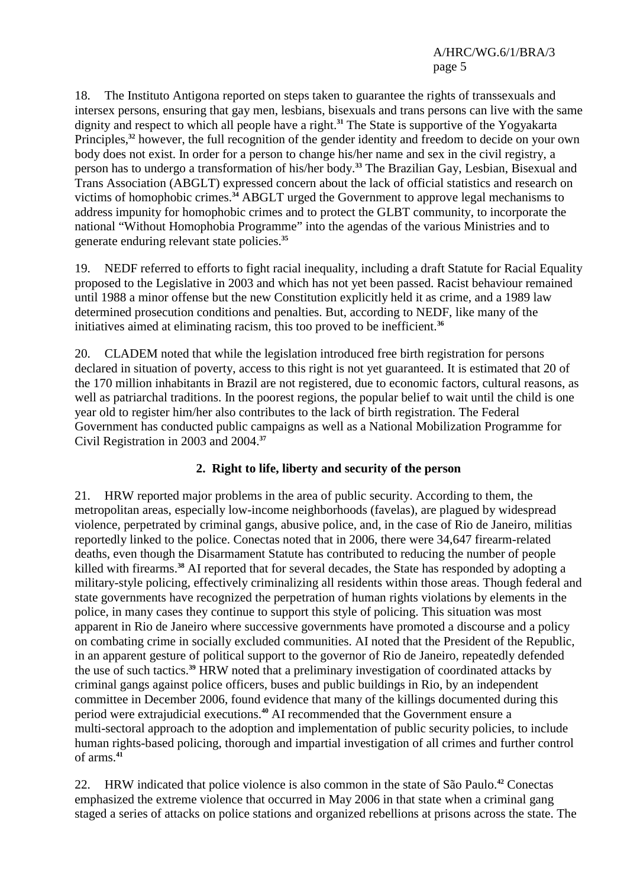18. The Instituto Antigona reported on steps taken to guarantee the rights of transsexuals and intersex persons, ensuring that gay men, lesbians, bisexuals and trans persons can live with the same dignity and respect to which all people have a right.**<sup>31</sup>** The State is supportive of the Yogyakarta Principles,**<sup>32</sup>** however, the full recognition of the gender identity and freedom to decide on your own body does not exist. In order for a person to change his/her name and sex in the civil registry, a person has to undergo a transformation of his/her body.**<sup>33</sup>** The Brazilian Gay, Lesbian, Bisexual and Trans Association (ABGLT) expressed concern about the lack of official statistics and research on victims of homophobic crimes.**<sup>34</sup>** ABGLT urged the Government to approve legal mechanisms to address impunity for homophobic crimes and to protect the GLBT community, to incorporate the national "Without Homophobia Programme" into the agendas of the various Ministries and to generate enduring relevant state policies.**<sup>35</sup>**

19. NEDF referred to efforts to fight racial inequality, including a draft Statute for Racial Equality proposed to the Legislative in 2003 and which has not yet been passed. Racist behaviour remained until 1988 a minor offense but the new Constitution explicitly held it as crime, and a 1989 law determined prosecution conditions and penalties. But, according to NEDF, like many of the initiatives aimed at eliminating racism, this too proved to be inefficient.**<sup>36</sup>**

20. CLADEM noted that while the legislation introduced free birth registration for persons declared in situation of poverty, access to this right is not yet guaranteed. It is estimated that 20 of the 170 million inhabitants in Brazil are not registered, due to economic factors, cultural reasons, as well as patriarchal traditions. In the poorest regions, the popular belief to wait until the child is one year old to register him/her also contributes to the lack of birth registration. The Federal Government has conducted public campaigns as well as a National Mobilization Programme for Civil Registration in 2003 and 2004.**<sup>37</sup>**

# **2. Right to life, liberty and security of the person**

21. HRW reported major problems in the area of public security. According to them, the metropolitan areas, especially low-income neighborhoods (favelas), are plagued by widespread violence, perpetrated by criminal gangs, abusive police, and, in the case of Rio de Janeiro, militias reportedly linked to the police. Conectas noted that in 2006, there were 34,647 firearm-related deaths, even though the Disarmament Statute has contributed to reducing the number of people killed with firearms.**<sup>38</sup>** AI reported that for several decades, the State has responded by adopting a military-style policing, effectively criminalizing all residents within those areas. Though federal and state governments have recognized the perpetration of human rights violations by elements in the police, in many cases they continue to support this style of policing. This situation was most apparent in Rio de Janeiro where successive governments have promoted a discourse and a policy on combating crime in socially excluded communities. AI noted that the President of the Republic, in an apparent gesture of political support to the governor of Rio de Janeiro, repeatedly defended the use of such tactics.**<sup>39</sup>** HRW noted that a preliminary investigation of coordinated attacks by criminal gangs against police officers, buses and public buildings in Rio, by an independent committee in December 2006, found evidence that many of the killings documented during this period were extrajudicial executions.**<sup>40</sup>** AI recommended that the Government ensure a multi-sectoral approach to the adoption and implementation of public security policies, to include human rights-based policing, thorough and impartial investigation of all crimes and further control of arms.**<sup>41</sup>**

22. HRW indicated that police violence is also common in the state of São Paulo.**<sup>42</sup>** Conectas emphasized the extreme violence that occurred in May 2006 in that state when a criminal gang staged a series of attacks on police stations and organized rebellions at prisons across the state. The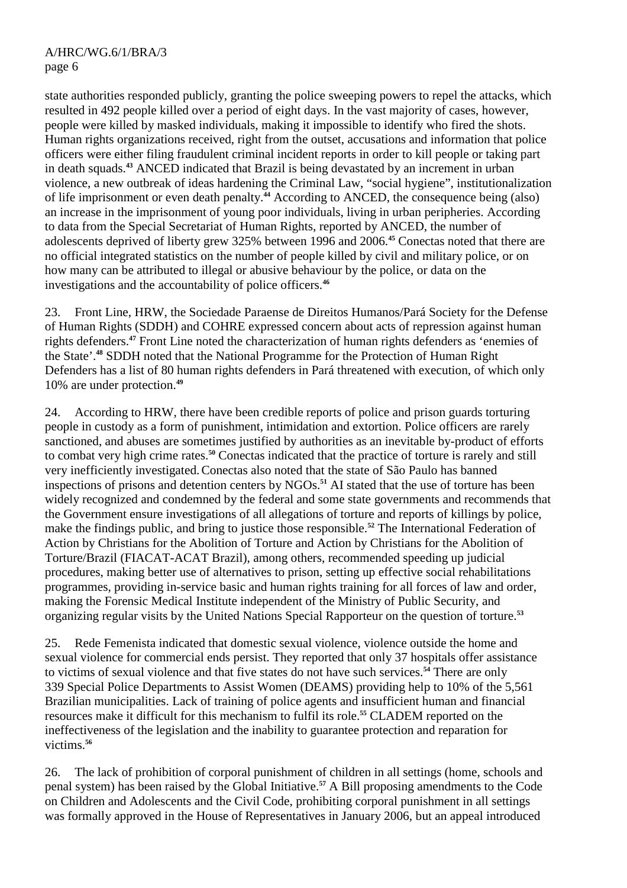state authorities responded publicly, granting the police sweeping powers to repel the attacks, which resulted in 492 people killed over a period of eight days. In the vast majority of cases, however, people were killed by masked individuals, making it impossible to identify who fired the shots. Human rights organizations received, right from the outset, accusations and information that police officers were either filing fraudulent criminal incident reports in order to kill people or taking part in death squads.**<sup>43</sup>** ANCED indicated that Brazil is being devastated by an increment in urban violence, a new outbreak of ideas hardening the Criminal Law, "social hygiene", institutionalization of life imprisonment or even death penalty.**<sup>44</sup>** According to ANCED, the consequence being (also) an increase in the imprisonment of young poor individuals, living in urban peripheries. According to data from the Special Secretariat of Human Rights, reported by ANCED, the number of adolescents deprived of liberty grew 325% between 1996 and 2006.**<sup>45</sup>** Conectas noted that there are no official integrated statistics on the number of people killed by civil and military police, or on how many can be attributed to illegal or abusive behaviour by the police, or data on the investigations and the accountability of police officers.**<sup>46</sup>**

23. Front Line, HRW, the Sociedade Paraense de Direitos Humanos/Pará Society for the Defense of Human Rights (SDDH) and COHRE expressed concern about acts of repression against human rights defenders.**<sup>47</sup>** Front Line noted the characterization of human rights defenders as 'enemies of the State'.**<sup>48</sup>** SDDH noted that the National Programme for the Protection of Human Right Defenders has a list of 80 human rights defenders in Pará threatened with execution, of which only 10% are under protection.**<sup>49</sup>**

24. According to HRW, there have been credible reports of police and prison guards torturing people in custody as a form of punishment, intimidation and extortion. Police officers are rarely sanctioned, and abuses are sometimes justified by authorities as an inevitable by-product of efforts to combat very high crime rates.**<sup>50</sup>** Conectas indicated that the practice of torture is rarely and still very inefficiently investigated.Conectas also noted that the state of São Paulo has banned inspections of prisons and detention centers by NGOs.**<sup>51</sup>** AI stated that the use of torture has been widely recognized and condemned by the federal and some state governments and recommends that the Government ensure investigations of all allegations of torture and reports of killings by police, make the findings public, and bring to justice those responsible.**<sup>52</sup>** The International Federation of Action by Christians for the Abolition of Torture and Action by Christians for the Abolition of Torture/Brazil (FIACAT-ACAT Brazil), among others, recommended speeding up judicial procedures, making better use of alternatives to prison, setting up effective social rehabilitations programmes, providing in-service basic and human rights training for all forces of law and order, making the Forensic Medical Institute independent of the Ministry of Public Security, and organizing regular visits by the United Nations Special Rapporteur on the question of torture.**<sup>53</sup>**

25. Rede Femenista indicated that domestic sexual violence, violence outside the home and sexual violence for commercial ends persist. They reported that only 37 hospitals offer assistance to victims of sexual violence and that five states do not have such services.**<sup>54</sup>** There are only 339 Special Police Departments to Assist Women (DEAMS) providing help to 10% of the 5,561 Brazilian municipalities. Lack of training of police agents and insufficient human and financial resources make it difficult for this mechanism to fulfil its role.**<sup>55</sup>** CLADEM reported on the ineffectiveness of the legislation and the inability to guarantee protection and reparation for victims.**<sup>56</sup>**

26. The lack of prohibition of corporal punishment of children in all settings (home, schools and penal system) has been raised by the Global Initiative.**<sup>57</sup>** A Bill proposing amendments to the Code on Children and Adolescents and the Civil Code, prohibiting corporal punishment in all settings was formally approved in the House of Representatives in January 2006, but an appeal introduced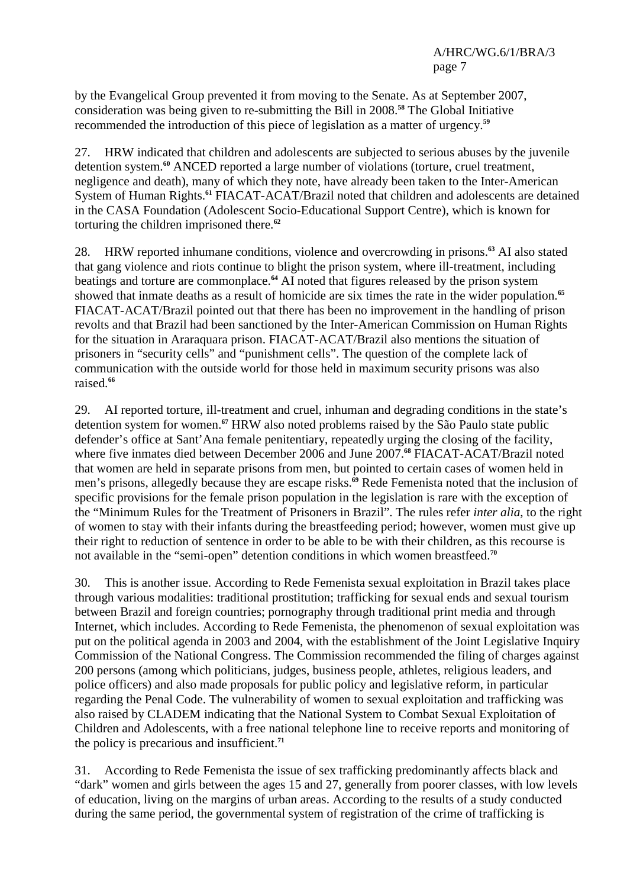by the Evangelical Group prevented it from moving to the Senate. As at September 2007, consideration was being given to re-submitting the Bill in 2008.**<sup>58</sup>** The Global Initiative recommended the introduction of this piece of legislation as a matter of urgency.**<sup>59</sup>**

27. HRW indicated that children and adolescents are subjected to serious abuses by the juvenile detention system.**<sup>60</sup>** ANCED reported a large number of violations (torture, cruel treatment, negligence and death), many of which they note, have already been taken to the Inter-American System of Human Rights.**<sup>61</sup>** FIACAT-ACAT/Brazil noted that children and adolescents are detained in the CASA Foundation (Adolescent Socio-Educational Support Centre), which is known for torturing the children imprisoned there.**<sup>62</sup>**

28. HRW reported inhumane conditions, violence and overcrowding in prisons.**<sup>63</sup>** AI also stated that gang violence and riots continue to blight the prison system, where ill-treatment, including beatings and torture are commonplace.**<sup>64</sup>** AI noted that figures released by the prison system showed that inmate deaths as a result of homicide are six times the rate in the wider population.**<sup>65</sup>** FIACAT-ACAT/Brazil pointed out that there has been no improvement in the handling of prison revolts and that Brazil had been sanctioned by the Inter-American Commission on Human Rights for the situation in Araraquara prison. FIACAT-ACAT/Brazil also mentions the situation of prisoners in "security cells" and "punishment cells". The question of the complete lack of communication with the outside world for those held in maximum security prisons was also raised.**<sup>66</sup>**

29. AI reported torture, ill-treatment and cruel, inhuman and degrading conditions in the state's detention system for women.**<sup>67</sup>** HRW also noted problems raised by the São Paulo state public defender's office at Sant'Ana female penitentiary, repeatedly urging the closing of the facility, where five inmates died between December 2006 and June 2007.**<sup>68</sup>** FIACAT-ACAT/Brazil noted that women are held in separate prisons from men, but pointed to certain cases of women held in men's prisons, allegedly because they are escape risks.**<sup>69</sup>** Rede Femenista noted that the inclusion of specific provisions for the female prison population in the legislation is rare with the exception of the "Minimum Rules for the Treatment of Prisoners in Brazil". The rules refer *inter alia*, to the right of women to stay with their infants during the breastfeeding period; however, women must give up their right to reduction of sentence in order to be able to be with their children, as this recourse is not available in the "semi-open" detention conditions in which women breastfeed.**<sup>70</sup>**

30. This is another issue. According to Rede Femenista sexual exploitation in Brazil takes place through various modalities: traditional prostitution; trafficking for sexual ends and sexual tourism between Brazil and foreign countries; pornography through traditional print media and through Internet, which includes. According to Rede Femenista, the phenomenon of sexual exploitation was put on the political agenda in 2003 and 2004, with the establishment of the Joint Legislative Inquiry Commission of the National Congress. The Commission recommended the filing of charges against 200 persons (among which politicians, judges, business people, athletes, religious leaders, and police officers) and also made proposals for public policy and legislative reform, in particular regarding the Penal Code. The vulnerability of women to sexual exploitation and trafficking was also raised by CLADEM indicating that the National System to Combat Sexual Exploitation of Children and Adolescents, with a free national telephone line to receive reports and monitoring of the policy is precarious and insufficient.**<sup>71</sup>**

31. According to Rede Femenista the issue of sex trafficking predominantly affects black and "dark" women and girls between the ages 15 and 27, generally from poorer classes, with low levels of education, living on the margins of urban areas. According to the results of a study conducted during the same period, the governmental system of registration of the crime of trafficking is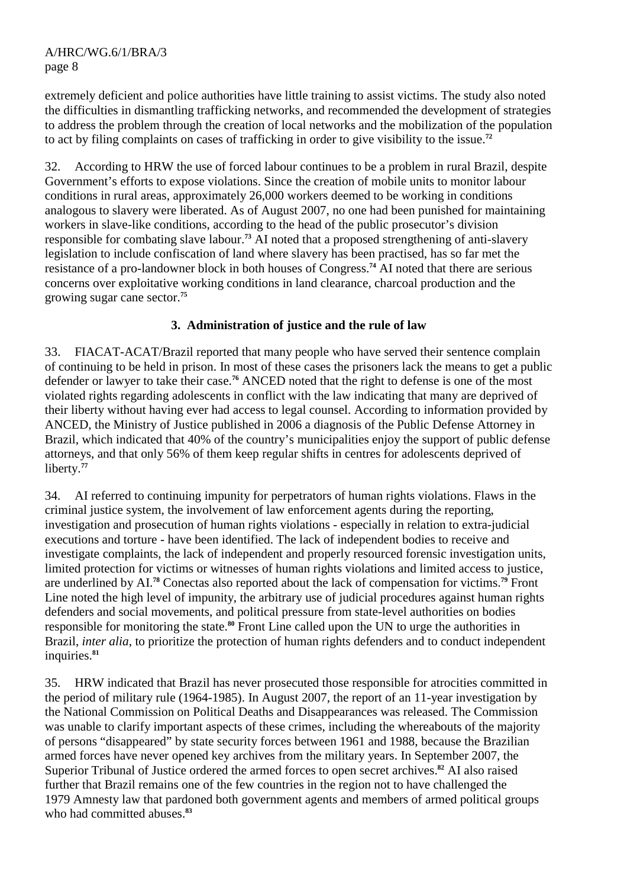extremely deficient and police authorities have little training to assist victims. The study also noted the difficulties in dismantling trafficking networks, and recommended the development of strategies to address the problem through the creation of local networks and the mobilization of the population to act by filing complaints on cases of trafficking in order to give visibility to the issue.**<sup>72</sup>**

32. According to HRW the use of forced labour continues to be a problem in rural Brazil, despite Government's efforts to expose violations. Since the creation of mobile units to monitor labour conditions in rural areas, approximately 26,000 workers deemed to be working in conditions analogous to slavery were liberated. As of August 2007, no one had been punished for maintaining workers in slave-like conditions, according to the head of the public prosecutor's division responsible for combating slave labour.**<sup>73</sup>** AI noted that a proposed strengthening of anti-slavery legislation to include confiscation of land where slavery has been practised, has so far met the resistance of a pro-landowner block in both houses of Congress.**<sup>74</sup>** AI noted that there are serious concerns over exploitative working conditions in land clearance, charcoal production and the growing sugar cane sector.**<sup>75</sup>**

## **3. Administration of justice and the rule of law**

33. FIACAT-ACAT/Brazil reported that many people who have served their sentence complain of continuing to be held in prison. In most of these cases the prisoners lack the means to get a public defender or lawyer to take their case.**<sup>76</sup>** ANCED noted that the right to defense is one of the most violated rights regarding adolescents in conflict with the law indicating that many are deprived of their liberty without having ever had access to legal counsel. According to information provided by ANCED, the Ministry of Justice published in 2006 a diagnosis of the Public Defense Attorney in Brazil, which indicated that 40% of the country's municipalities enjoy the support of public defense attorneys, and that only 56% of them keep regular shifts in centres for adolescents deprived of liberty.**<sup>77</sup>**

34. AI referred to continuing impunity for perpetrators of human rights violations. Flaws in the criminal justice system, the involvement of law enforcement agents during the reporting, investigation and prosecution of human rights violations - especially in relation to extra-judicial executions and torture - have been identified. The lack of independent bodies to receive and investigate complaints, the lack of independent and properly resourced forensic investigation units, limited protection for victims or witnesses of human rights violations and limited access to justice, are underlined by AI.**<sup>78</sup>** Conectas also reported about the lack of compensation for victims.**<sup>79</sup>** Front Line noted the high level of impunity, the arbitrary use of judicial procedures against human rights defenders and social movements, and political pressure from state-level authorities on bodies responsible for monitoring the state.**<sup>80</sup>** Front Line called upon the UN to urge the authorities in Brazil, *inter alia*, to prioritize the protection of human rights defenders and to conduct independent inquiries.**<sup>81</sup>**

35. HRW indicated that Brazil has never prosecuted those responsible for atrocities committed in the period of military rule (1964-1985). In August 2007, the report of an 11-year investigation by the National Commission on Political Deaths and Disappearances was released. The Commission was unable to clarify important aspects of these crimes, including the whereabouts of the majority of persons "disappeared" by state security forces between 1961 and 1988, because the Brazilian armed forces have never opened key archives from the military years. In September 2007, the Superior Tribunal of Justice ordered the armed forces to open secret archives.**<sup>82</sup>** AI also raised further that Brazil remains one of the few countries in the region not to have challenged the 1979 Amnesty law that pardoned both government agents and members of armed political groups who had committed abuses.**83**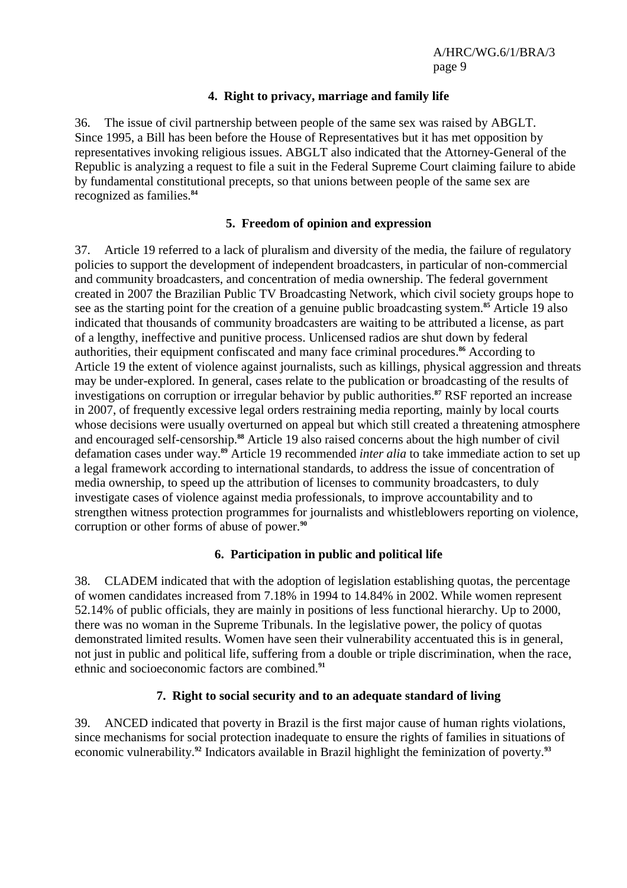#### **4. Right to privacy, marriage and family life**

36. The issue of civil partnership between people of the same sex was raised by ABGLT. Since 1995, a Bill has been before the House of Representatives but it has met opposition by representatives invoking religious issues. ABGLT also indicated that the Attorney-General of the Republic is analyzing a request to file a suit in the Federal Supreme Court claiming failure to abide by fundamental constitutional precepts, so that unions between people of the same sex are recognized as families.**<sup>84</sup>**

#### **5. Freedom of opinion and expression**

37. Article 19 referred to a lack of pluralism and diversity of the media, the failure of regulatory policies to support the development of independent broadcasters, in particular of non-commercial and community broadcasters, and concentration of media ownership. The federal government created in 2007 the Brazilian Public TV Broadcasting Network, which civil society groups hope to see as the starting point for the creation of a genuine public broadcasting system.**<sup>85</sup>** Article 19 also indicated that thousands of community broadcasters are waiting to be attributed a license, as part of a lengthy, ineffective and punitive process. Unlicensed radios are shut down by federal authorities, their equipment confiscated and many face criminal procedures.**<sup>86</sup>** According to Article 19 the extent of violence against journalists, such as killings, physical aggression and threats may be under-explored. In general, cases relate to the publication or broadcasting of the results of investigations on corruption or irregular behavior by public authorities.**<sup>87</sup>** RSF reported an increase in 2007, of frequently excessive legal orders restraining media reporting, mainly by local courts whose decisions were usually overturned on appeal but which still created a threatening atmosphere and encouraged self-censorship.**<sup>88</sup>** Article 19 also raised concerns about the high number of civil defamation cases under way.**<sup>89</sup>** Article 19 recommended *inter alia* to take immediate action to set up a legal framework according to international standards, to address the issue of concentration of media ownership, to speed up the attribution of licenses to community broadcasters, to duly investigate cases of violence against media professionals, to improve accountability and to strengthen witness protection programmes for journalists and whistleblowers reporting on violence, corruption or other forms of abuse of power.**<sup>90</sup>**

#### **6. Participation in public and political life**

38. CLADEM indicated that with the adoption of legislation establishing quotas, the percentage of women candidates increased from 7.18% in 1994 to 14.84% in 2002. While women represent 52.14% of public officials, they are mainly in positions of less functional hierarchy. Up to 2000, there was no woman in the Supreme Tribunals. In the legislative power, the policy of quotas demonstrated limited results. Women have seen their vulnerability accentuated this is in general, not just in public and political life, suffering from a double or triple discrimination, when the race, ethnic and socioeconomic factors are combined.**<sup>91</sup>**

#### **7. Right to social security and to an adequate standard of living**

39. ANCED indicated that poverty in Brazil is the first major cause of human rights violations, since mechanisms for social protection inadequate to ensure the rights of families in situations of economic vulnerability.**92** Indicators available in Brazil highlight the feminization of poverty.**93**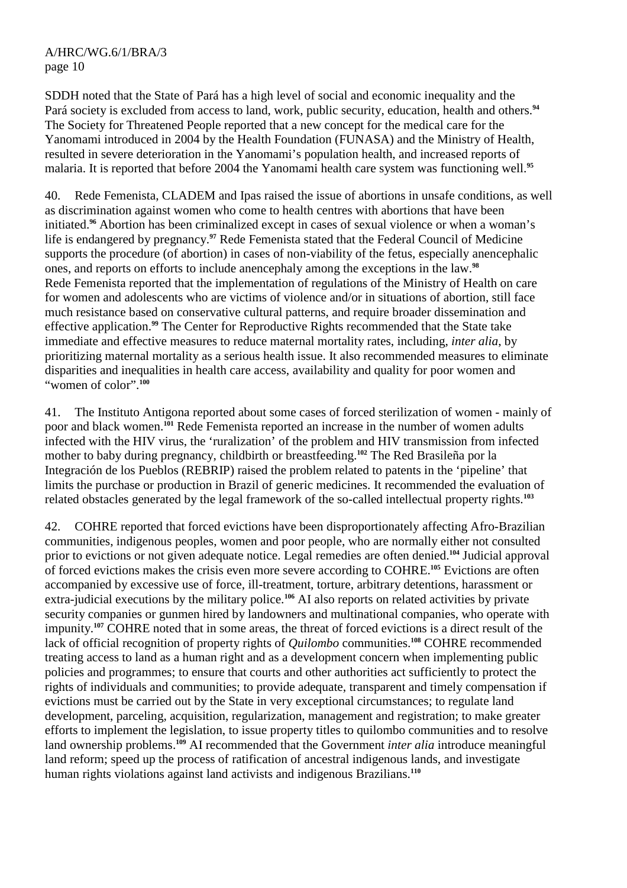SDDH noted that the State of Pará has a high level of social and economic inequality and the Pará society is excluded from access to land, work, public security, education, health and others.**<sup>94</sup>** The Society for Threatened People reported that a new concept for the medical care for the Yanomami introduced in 2004 by the Health Foundation (FUNASA) and the Ministry of Health, resulted in severe deterioration in the Yanomami's population health, and increased reports of malaria. It is reported that before 2004 the Yanomami health care system was functioning well.**<sup>95</sup>**

40. Rede Femenista, CLADEM and Ipas raised the issue of abortions in unsafe conditions, as well as discrimination against women who come to health centres with abortions that have been initiated.**<sup>96</sup>** Abortion has been criminalized except in cases of sexual violence or when a woman's life is endangered by pregnancy.**<sup>97</sup>** Rede Femenista stated that the Federal Council of Medicine supports the procedure (of abortion) in cases of non-viability of the fetus, especially anencephalic ones, and reports on efforts to include anencephaly among the exceptions in the law.**<sup>98</sup>** Rede Femenista reported that the implementation of regulations of the Ministry of Health on care for women and adolescents who are victims of violence and/or in situations of abortion, still face much resistance based on conservative cultural patterns, and require broader dissemination and effective application.**<sup>99</sup>** The Center for Reproductive Rights recommended that the State take immediate and effective measures to reduce maternal mortality rates, including, *inter alia*, by prioritizing maternal mortality as a serious health issue. It also recommended measures to eliminate disparities and inequalities in health care access, availability and quality for poor women and "women of color".**<sup>100</sup>**

41. The Instituto Antigona reported about some cases of forced sterilization of women - mainly of poor and black women.**<sup>101</sup>** Rede Femenista reported an increase in the number of women adults infected with the HIV virus, the 'ruralization' of the problem and HIV transmission from infected mother to baby during pregnancy, childbirth or breastfeeding.**<sup>102</sup>** The Red Brasileña por la Integración de los Pueblos (REBRIP) raised the problem related to patents in the 'pipeline' that limits the purchase or production in Brazil of generic medicines. It recommended the evaluation of related obstacles generated by the legal framework of the so-called intellectual property rights.**<sup>103</sup>**

42. COHRE reported that forced evictions have been disproportionately affecting Afro-Brazilian communities, indigenous peoples, women and poor people, who are normally either not consulted prior to evictions or not given adequate notice. Legal remedies are often denied.**<sup>104</sup>** Judicial approval of forced evictions makes the crisis even more severe according to COHRE.**<sup>105</sup>** Evictions are often accompanied by excessive use of force, ill-treatment, torture, arbitrary detentions, harassment or extra-judicial executions by the military police.**<sup>106</sup>** AI also reports on related activities by private security companies or gunmen hired by landowners and multinational companies, who operate with impunity.**<sup>107</sup>** COHRE noted that in some areas, the threat of forced evictions is a direct result of the lack of official recognition of property rights of *Quilombo* communities.**<sup>108</sup>** COHRE recommended treating access to land as a human right and as a development concern when implementing public policies and programmes; to ensure that courts and other authorities act sufficiently to protect the rights of individuals and communities; to provide adequate, transparent and timely compensation if evictions must be carried out by the State in very exceptional circumstances; to regulate land development, parceling, acquisition, regularization, management and registration; to make greater efforts to implement the legislation, to issue property titles to quilombo communities and to resolve land ownership problems.**<sup>109</sup>** AI recommended that the Government *inter alia* introduce meaningful land reform; speed up the process of ratification of ancestral indigenous lands, and investigate human rights violations against land activists and indigenous Brazilians.**110**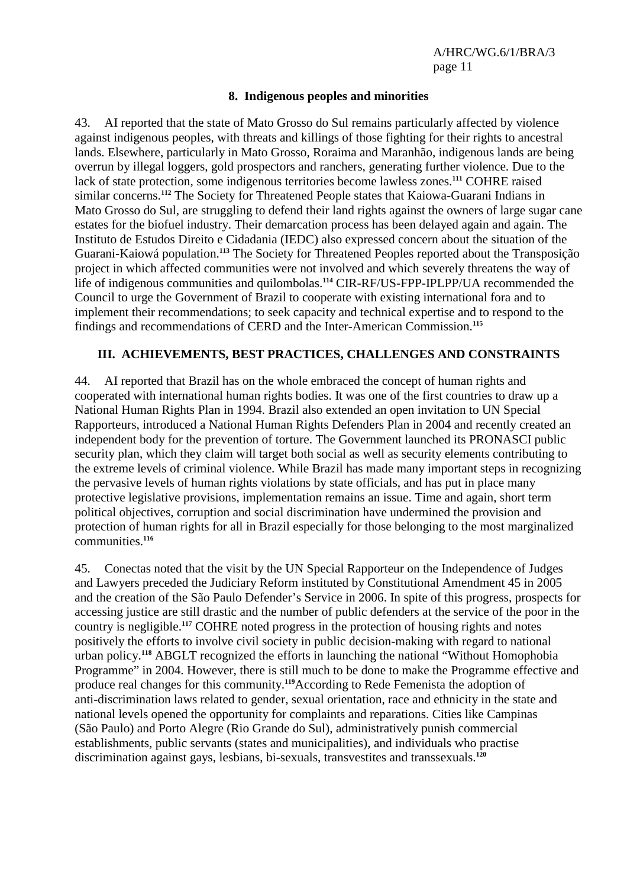#### **8. Indigenous peoples and minorities**

43. AI reported that the state of Mato Grosso do Sul remains particularly affected by violence against indigenous peoples, with threats and killings of those fighting for their rights to ancestral lands. Elsewhere, particularly in Mato Grosso, Roraima and Maranhão, indigenous lands are being overrun by illegal loggers, gold prospectors and ranchers, generating further violence. Due to the lack of state protection, some indigenous territories become lawless zones.**<sup>111</sup>** COHRE raised similar concerns.**<sup>112</sup>** The Society for Threatened People states that Kaiowa-Guarani Indians in Mato Grosso do Sul, are struggling to defend their land rights against the owners of large sugar cane estates for the biofuel industry. Their demarcation process has been delayed again and again. The Instituto de Estudos Direito e Cidadania (IEDC) also expressed concern about the situation of the Guarani-Kaiowá population.**<sup>113</sup>** The Society for Threatened Peoples reported about the Transposição project in which affected communities were not involved and which severely threatens the way of life of indigenous communities and quilombolas.**<sup>114</sup>** CIR-RF/US-FPP-IPLPP/UA recommended the Council to urge the Government of Brazil to cooperate with existing international fora and to implement their recommendations; to seek capacity and technical expertise and to respond to the findings and recommendations of CERD and the Inter-American Commission.**<sup>115</sup>**

#### **III. ACHIEVEMENTS, BEST PRACTICES, CHALLENGES AND CONSTRAINTS**

44. AI reported that Brazil has on the whole embraced the concept of human rights and cooperated with international human rights bodies. It was one of the first countries to draw up a National Human Rights Plan in 1994. Brazil also extended an open invitation to UN Special Rapporteurs, introduced a National Human Rights Defenders Plan in 2004 and recently created an independent body for the prevention of torture. The Government launched its PRONASCI public security plan, which they claim will target both social as well as security elements contributing to the extreme levels of criminal violence. While Brazil has made many important steps in recognizing the pervasive levels of human rights violations by state officials, and has put in place many protective legislative provisions, implementation remains an issue. Time and again, short term political objectives, corruption and social discrimination have undermined the provision and protection of human rights for all in Brazil especially for those belonging to the most marginalized communities.**<sup>116</sup>**

45. Conectas noted that the visit by the UN Special Rapporteur on the Independence of Judges and Lawyers preceded the Judiciary Reform instituted by Constitutional Amendment 45 in 2005 and the creation of the São Paulo Defender's Service in 2006. In spite of this progress, prospects for accessing justice are still drastic and the number of public defenders at the service of the poor in the country is negligible.**<sup>117</sup>** COHRE noted progress in the protection of housing rights and notes positively the efforts to involve civil society in public decision-making with regard to national urban policy.**<sup>118</sup>** ABGLT recognized the efforts in launching the national "Without Homophobia Programme" in 2004. However, there is still much to be done to make the Programme effective and produce real changes for this community.**<sup>119</sup>**According to Rede Femenista the adoption of anti-discrimination laws related to gender, sexual orientation, race and ethnicity in the state and national levels opened the opportunity for complaints and reparations. Cities like Campinas (São Paulo) and Porto Alegre (Rio Grande do Sul), administratively punish commercial establishments, public servants (states and municipalities), and individuals who practise discrimination against gays, lesbians, bi-sexuals, transvestites and transsexuals.**120**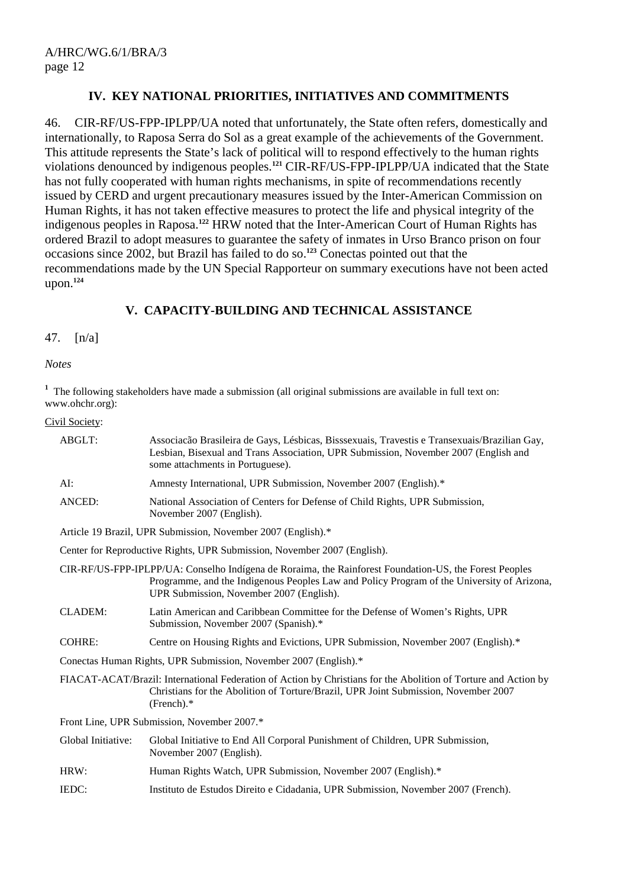#### **IV. KEY NATIONAL PRIORITIES, INITIATIVES AND COMMITMENTS**

46. CIR-RF/US-FPP-IPLPP/UA noted that unfortunately, the State often refers, domestically and internationally, to Raposa Serra do Sol as a great example of the achievements of the Government. This attitude represents the State's lack of political will to respond effectively to the human rights violations denounced by indigenous peoples.**<sup>121</sup>** CIR-RF/US-FPP-IPLPP/UA indicated that the State has not fully cooperated with human rights mechanisms, in spite of recommendations recently issued by CERD and urgent precautionary measures issued by the Inter-American Commission on Human Rights, it has not taken effective measures to protect the life and physical integrity of the indigenous peoples in Raposa.**<sup>122</sup>** HRW noted that the Inter-American Court of Human Rights has ordered Brazil to adopt measures to guarantee the safety of inmates in Urso Branco prison on four occasions since 2002, but Brazil has failed to do so.**<sup>123</sup>** Conectas pointed out that the recommendations made by the UN Special Rapporteur on summary executions have not been acted upon.**<sup>124</sup>**

#### **V. CAPACITY-BUILDING AND TECHNICAL ASSISTANCE**

#### 47. [n/a]

#### *Notes*

<sup>1</sup> The following stakeholders have made a submission (all original submissions are available in full text on: www.ohchr.org):

#### Civil Society:

| ABGLT:                                                                   | Associação Brasileira de Gays, Lésbicas, Bisssexuais, Travestis e Transexuais/Brazilian Gay,<br>Lesbian, Bisexual and Trans Association, UPR Submission, November 2007 (English and<br>some attachments in Portuguese).                          |  |
|--------------------------------------------------------------------------|--------------------------------------------------------------------------------------------------------------------------------------------------------------------------------------------------------------------------------------------------|--|
| AI:                                                                      | Amnesty International, UPR Submission, November 2007 (English).*                                                                                                                                                                                 |  |
| ANCED:                                                                   | National Association of Centers for Defense of Child Rights, UPR Submission,<br>November 2007 (English).                                                                                                                                         |  |
| Article 19 Brazil, UPR Submission, November 2007 (English).*             |                                                                                                                                                                                                                                                  |  |
| Center for Reproductive Rights, UPR Submission, November 2007 (English). |                                                                                                                                                                                                                                                  |  |
|                                                                          | CIR-RF/US-FPP-IPLPP/UA: Conselho Indígena de Roraima, the Rainforest Foundation-US, the Forest Peoples<br>Programme, and the Indigenous Peoples Law and Policy Program of the University of Arizona,<br>UPR Submission, November 2007 (English). |  |
| <b>CLADEM:</b>                                                           | Latin American and Caribbean Committee for the Defense of Women's Rights, UPR<br>Submission, November 2007 (Spanish).*                                                                                                                           |  |
| <b>COHRE:</b>                                                            | Centre on Housing Rights and Evictions, UPR Submission, November 2007 (English).*                                                                                                                                                                |  |
| Conectas Human Rights, UPR Submission, November 2007 (English).*         |                                                                                                                                                                                                                                                  |  |
|                                                                          | FIACAT-ACAT/Brazil: International Federation of Action by Christians for the Abolition of Torture and Action by<br>Christians for the Abolition of Torture/Brazil, UPR Joint Submission, November 2007<br>(French).                              |  |
| Front Line, UPR Submission, November 2007.*                              |                                                                                                                                                                                                                                                  |  |
| Global Initiative:                                                       | Global Initiative to End All Corporal Punishment of Children, UPR Submission,<br>November 2007 (English).                                                                                                                                        |  |
| HRW:                                                                     | Human Rights Watch, UPR Submission, November 2007 (English).*                                                                                                                                                                                    |  |
| IEDC:                                                                    | Instituto de Estudos Direito e Cidadania, UPR Submission, November 2007 (French).                                                                                                                                                                |  |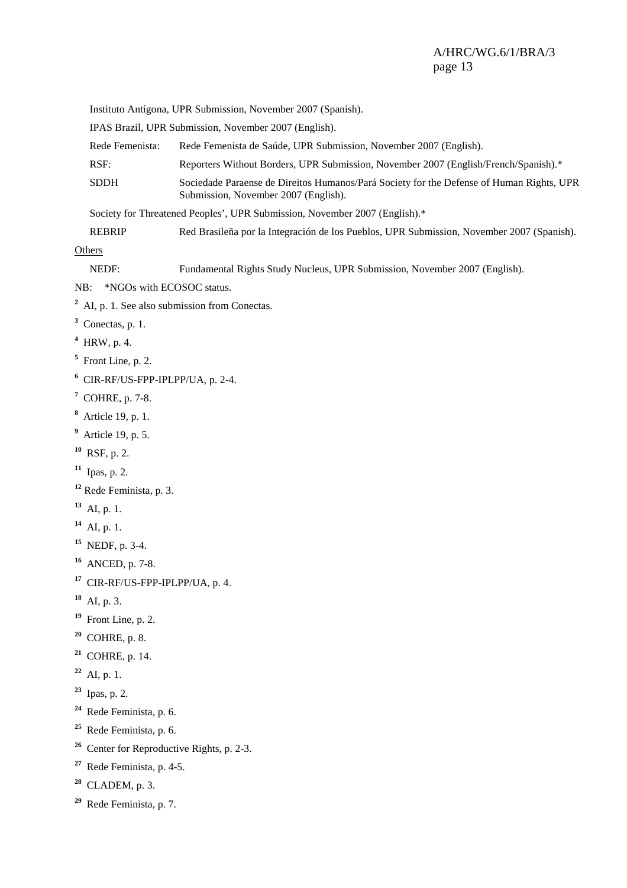Instituto Antígona, UPR Submission, November 2007 (Spanish).

IPAS Brazil, UPR Submission, November 2007 (English).

Rede Femenista: Rede Femenista de Saúde, UPR Submission, November 2007 (English).

- RSF: Reporters Without Borders, UPR Submission, November 2007 (English/French/Spanish).\*
- SDDH Sociedade Paraense de Direitos Humanos/Pará Society for the Defense of Human Rights, UPR Submission, November 2007 (English).

Society for Threatened Peoples', UPR Submission, November 2007 (English).\*

REBRIP Red Brasileña por la Integración de los Pueblos, UPR Submission, November 2007 (Spanish).

**Others** 

| NEDF:                 | Fundamental Rights Study Nucleus, UPR Submission, November 2007 (English). |
|-----------------------|----------------------------------------------------------------------------|
|                       | NB: *NGOs with ECOSOC status.                                              |
|                       | $2$ AI, p. 1. See also submission from Conectas.                           |
| $3$ Conectas, p. 1.   |                                                                            |
| $4$ HRW, p. 4.        |                                                                            |
| $5$ Front Line, p. 2. |                                                                            |
|                       | $6$ CIR-RF/US-FPP-IPLPP/UA, p. 2-4.                                        |
| $7$ COHRE, p. 7-8.    |                                                                            |

- **8** Article 19, p. 1.
- **9** Article 19, p. 5.
- **<sup>10</sup>** RSF, p. 2.
- **<sup>11</sup>** Ipas, p. 2.
- **<sup>12</sup>** Rede Feminista, p. 3.
- **<sup>13</sup>** AI, p. 1.
- **<sup>14</sup>** AI, p. 1.
- **<sup>15</sup>** NEDF, p. 3-4.
- **<sup>16</sup>** ANCED, p. 7-8.
- **<sup>17</sup>** CIR-RF/US-FPP-IPLPP/UA, p. 4.
- **<sup>18</sup>** AI, p. 3.
- **<sup>19</sup>** Front Line, p. 2.
- **<sup>20</sup>** COHRE, p. 8.
- **<sup>21</sup>** COHRE, p. 14.
- **<sup>22</sup>** AI, p. 1.
- **<sup>23</sup>** Ipas, p. 2.
- **<sup>24</sup>** Rede Feminista, p. 6.
- **<sup>25</sup>** Rede Feminista, p. 6.
- **<sup>26</sup>** Center for Reproductive Rights, p. 2-3.
- **<sup>27</sup>** Rede Feminista, p. 4-5.
- **<sup>28</sup>** CLADEM, p. 3.
- **<sup>29</sup>** Rede Feminista, p. 7.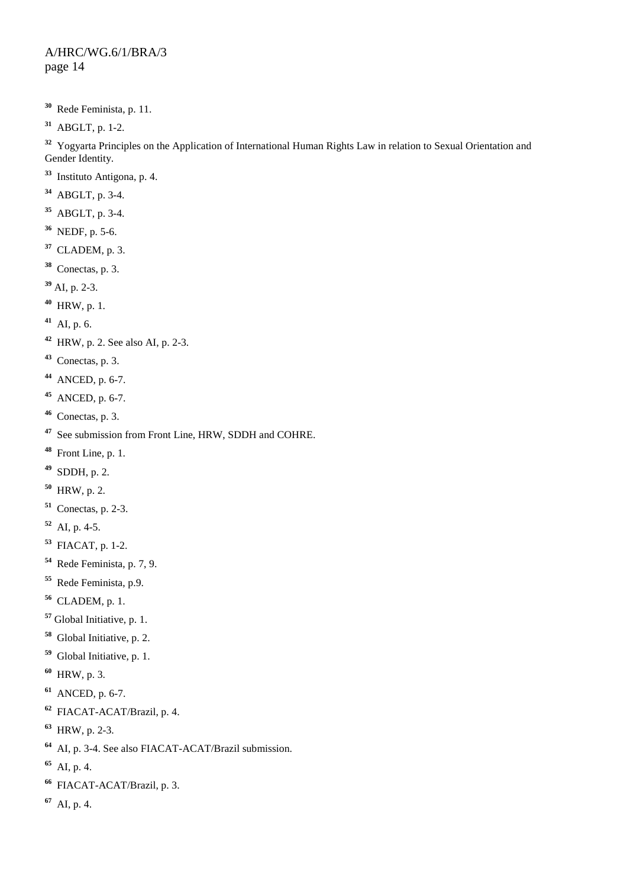- Rede Feminista, p. 11.
- ABGLT, p. 1-2.

 Yogyarta Principles on the Application of International Human Rights Law in relation to Sexual Orientation and Gender Identity.

- Instituto Antigona, p. 4.
- ABGLT, p. 3-4.
- ABGLT, p. 3-4.
- NEDF, p. 5-6.
- CLADEM, p. 3.
- Conectas, p. 3.
- AI, p. 2-3.
- HRW, p. 1.
- AI, p. 6.
- HRW, p. 2. See also AI, p. 2-3.
- Conectas, p. 3.
- ANCED, p. 6-7.
- ANCED, p. 6-7.
- Conectas, p. 3.
- See submission from Front Line, HRW, SDDH and COHRE.
- Front Line, p. 1.
- SDDH, p. 2.
- HRW, p. 2.
- Conectas, p. 2-3.
- AI, p. 4-5.
- FIACAT, p. 1-2.
- Rede Feminista, p. 7, 9.
- Rede Feminista, p.9.
- CLADEM, p. 1.
- Global Initiative, p. 1.
- Global Initiative, p. 2.
- Global Initiative, p. 1.
- HRW, p. 3.
- ANCED, p. 6-7.
- FIACAT-ACAT/Brazil, p. 4.
- HRW, p. 2-3.
- AI, p. 3-4. See also FIACAT-ACAT/Brazil submission.
- AI, p. 4.
- FIACAT-ACAT/Brazil, p. 3.
- AI, p. 4.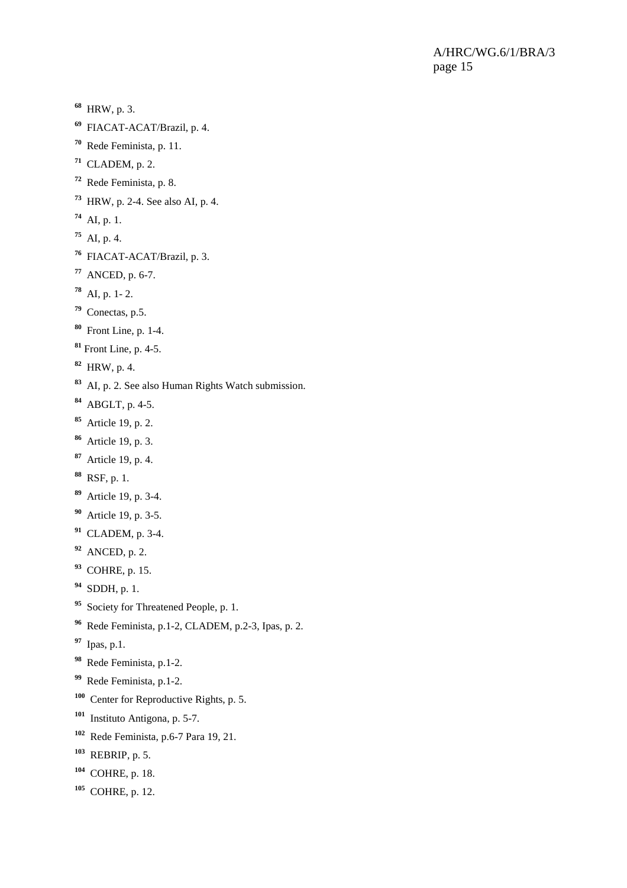- HRW, p. 3.
- FIACAT-ACAT/Brazil, p. 4.
- Rede Feminista, p. 11.
- CLADEM, p. 2.
- Rede Feminista, p. 8.
- HRW, p. 2-4. See also AI, p. 4.
- AI, p. 1.
- AI, p. 4.
- FIACAT-ACAT/Brazil, p. 3.
- ANCED, p. 6-7.
- AI, p. 1- 2.
- Conectas, p.5.
- Front Line, p. 1-4.
- Front Line, p. 4-5.
- HRW, p. 4.
- AI, p. 2. See also Human Rights Watch submission.
- ABGLT, p. 4-5.
- Article 19, p. 2.
- Article 19, p. 3.
- Article 19, p. 4.
- RSF, p. 1.
- Article 19, p. 3-4.
- Article 19, p. 3-5.
- CLADEM, p. 3-4.
- ANCED, p. 2.
- COHRE, p. 15.
- SDDH, p. 1.
- Society for Threatened People, p. 1.
- Rede Feminista, p.1-2, CLADEM, p.2-3, Ipas, p. 2.
- Ipas, p.1.
- Rede Feminista, p.1-2.
- Rede Feminista, p.1-2.
- Center for Reproductive Rights, p. 5.
- Instituto Antigona, p. 5-7.
- Rede Feminista, p.6-7 Para 19, 21.
- REBRIP, p. 5.
- COHRE, p. 18.
- COHRE, p. 12.